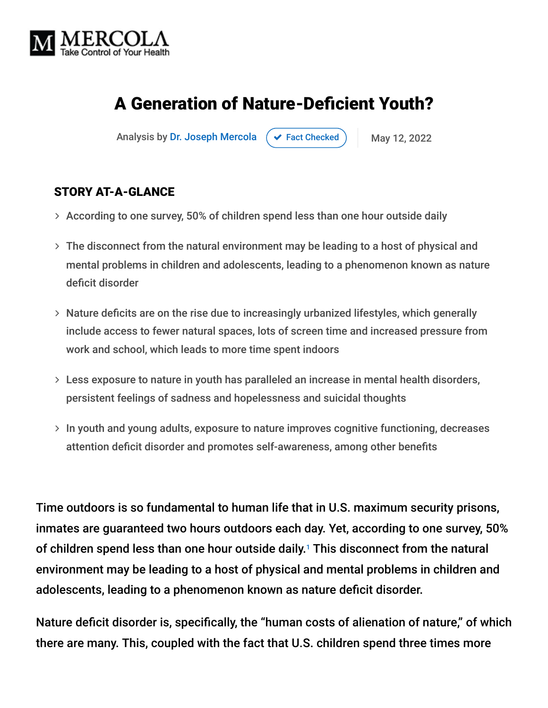

# A Generation of Nature-Deficient Youth?

Analysis by [Dr. Joseph Mercola](https://www.mercola.com/forms/background.htm)  $\left( \right. \times$  [Fact Checked](javascript:void(0))  $\left. \right)$  May 12, 2022

#### STORY AT-A-GLANCE

- $\rightarrow$  According to one survey, 50% of children spend less than one hour outside daily
- The disconnect from the natural environment may be leading to a host of physical and mental problems in children and adolescents, leading to a phenomenon known as nature deficit disorder
- Nature deficits are on the rise due to increasingly urbanized lifestyles, which generally include access to fewer natural spaces, lots of screen time and increased pressure from work and school, which leads to more time spent indoors
- Less exposure to nature in youth has paralleled an increase in mental health disorders, persistent feelings of sadness and hopelessness and suicidal thoughts
- $>$  In youth and young adults, exposure to nature improves cognitive functioning, decreases attention deficit disorder and promotes self-awareness, among other benefits

Time outdoors is so fundamental to human life that in U.S. maximum security prisons, inmates are guaranteed two hours outdoors each day. Yet, according to one survey, 50% of children spend less than one hour outside daily.<sup>1</sup> This disconnect from the natural environment may be leading to a host of physical and mental problems in children and adolescents, leading to a phenomenon known as nature deficit disorder.

Nature deficit disorder is, specifically, the "human costs of alienation of nature," of which there are many. This, coupled with the fact that U.S. children spend three times more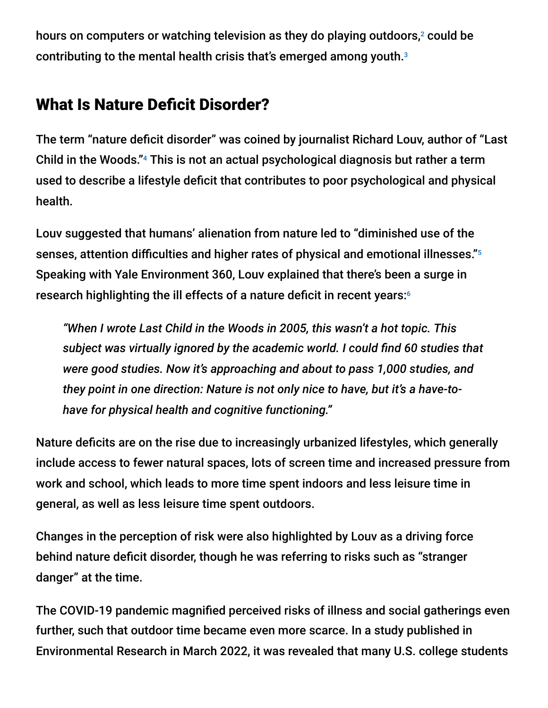hours on computers or watching television as they do playing outdoors, $\textsuperscript{2}$  could be contributing to the mental health crisis that's emerged among youth. 3

## What Is Nature Deficit Disorder?

The term "nature deficit disorder" was coined by journalist Richard Louv, author of "Last Child in the Woods."<sup>4</sup> This is not an actual psychological diagnosis but rather a term used to describe a lifestyle deficit that contributes to poor psychological and physical health.

Louv suggested that humans' alienation from nature led to "diminished use of the senses, attention difficulties and higher rates of physical and emotional illnesses." 5 Speaking with Yale Environment 360, Louv explained that there's been a surge in research highlighting the ill effects of a nature deficit in recent years: 6

*"When I wrote Last Child in the Woods in 2005, this wasn't a hot topic. This subject was virtually ignored by the academic world. I could find 60 studies that were good studies. Now it's approaching and about to pass 1,000 studies, and they point in one direction: Nature is not only nice to have, but it's a have-tohave for physical health and cognitive functioning."*

Nature deficits are on the rise due to increasingly urbanized lifestyles, which generally include access to fewer natural spaces, lots of screen time and increased pressure from work and school, which leads to more time spent indoors and less leisure time in general, as well as less leisure time spent outdoors.

Changes in the perception of risk were also highlighted by Louv as a driving force behind nature deficit disorder, though he was referring to risks such as "stranger danger" at the time.

The COVID-19 pandemic magnified perceived risks of illness and social gatherings even further, such that outdoor time became even more scarce. In a study published in Environmental Research in March 2022, it was revealed that many U.S. college students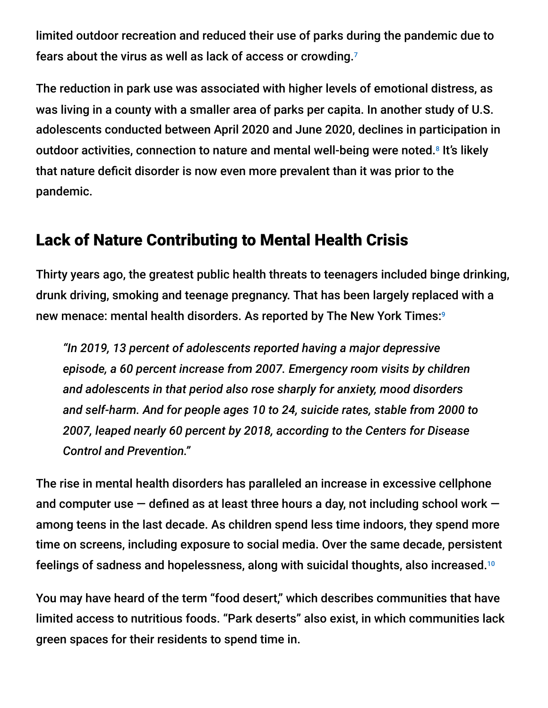limited outdoor recreation and reduced their use of parks during the pandemic due to fears about the virus as well as lack of access or crowding. 7

The reduction in park use was associated with higher levels of emotional distress, as was living in a county with a smaller area of parks per capita. In another study of U.S. adolescents conducted between April 2020 and June 2020, declines in participation in outdoor activities, connection to nature and mental well-being were noted.<sup>8</sup> It's likely that nature deficit disorder is now even more prevalent than it was prior to the pandemic.

### Lack of Nature Contributing to Mental Health Crisis

Thirty years ago, the greatest public health threats to teenagers included binge drinking, drunk driving, smoking and teenage pregnancy. That has been largely replaced with a new menace: mental health disorders. As reported by The New York Times: 9

*"In 2019, 13 percent of adolescents reported having a major depressive episode, a 60 percent increase from 2007. Emergency room visits by children and adolescents in that period also rose sharply for anxiety, mood disorders and self-harm. And for people ages 10 to 24, suicide rates, stable from 2000 to 2007, leaped nearly 60 percent by 2018, according to the Centers for Disease Control and Prevention."*

The rise in mental health disorders has paralleled an increase in excessive cellphone and computer use  $-$  defined as at least three hours a day, not including school work  $$ among teens in the last decade. As children spend less time indoors, they spend more time on screens, including exposure to social media. Over the same decade, persistent feelings of sadness and hopelessness, along with suicidal thoughts, also increased. $^{\rm 10}$ 

You may have heard of the term "food desert," which describes communities that have limited access to nutritious foods. "Park deserts" also exist, in which communities lack green spaces for their residents to spend time in.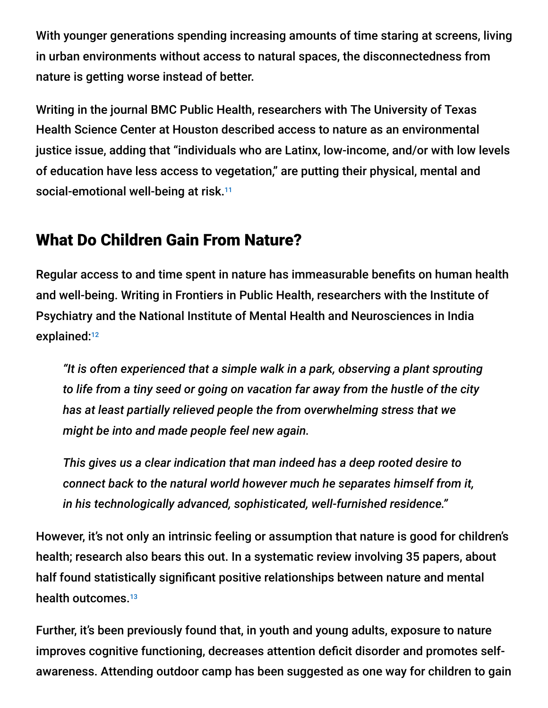With younger generations spending increasing amounts of time staring at screens, living in urban environments without access to natural spaces, the disconnectedness from nature is getting worse instead of better.

Writing in the journal BMC Public Health, researchers with The University of Texas Health Science Center at Houston described access to nature as an environmental justice issue, adding that "individuals who are Latinx, low-income, and/or with low levels of education have less access to vegetation," are putting their physical, mental and social-emotional well-being at risk. 11

# What Do Children Gain From Nature?

Regular access to and time spent in nature has immeasurable benefits on human health and well-being. Writing in Frontiers in Public Health, researchers with the Institute of Psychiatry and the National Institute of Mental Health and Neurosciences in India explained: 12

*"It is often experienced that a simple walk in a park, observing a plant sprouting to life from a tiny seed or going on vacation far away from the hustle of the city has at least partially relieved people the from overwhelming stress that we might be into and made people feel new again.*

*This gives us a clear indication that man indeed has a deep rooted desire to connect back to the natural world however much he separates himself from it, in his technologically advanced, sophisticated, well-furnished residence."*

However, it's not only an intrinsic feeling or assumption that nature is good for children's health; research also bears this out. In a systematic review involving 35 papers, about half found statistically significant positive relationships between nature and mental health outcomes. 13

Further, it's been previously found that, in youth and young adults, exposure to nature improves cognitive functioning, decreases attention deficit disorder and promotes selfawareness. Attending outdoor camp has been suggested as one way for children to gain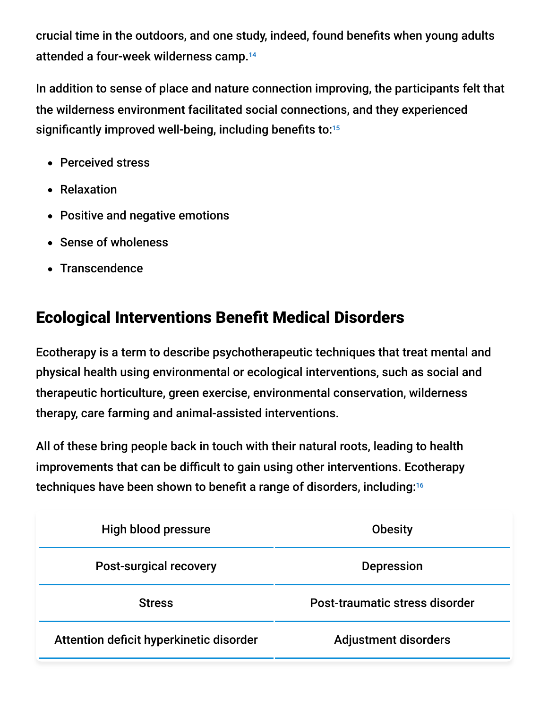crucial time in the outdoors, and one study, indeed, found benefits when young adults attended a four-week wilderness camp. 14

In addition to sense of place and nature connection improving, the participants felt that the wilderness environment facilitated social connections, and they experienced significantly improved well-being, including benefits to: 15

- Perceived stress
- Relaxation
- Positive and negative emotions
- Sense of wholeness
- Transcendence

# Ecological Interventions Benefit Medical Disorders

Ecotherapy is a term to describe psychotherapeutic techniques that treat mental and physical health using environmental or ecological interventions, such as social and therapeutic horticulture, green exercise, environmental conservation, wilderness therapy, care farming and animal-assisted interventions.

All of these bring people back in touch with their natural roots, leading to health improvements that can be difficult to gain using other interventions. Ecotherapy techniques have been shown to benefit a range of disorders, including: 16

| High blood pressure                     | <b>Obesity</b>                 |
|-----------------------------------------|--------------------------------|
| <b>Post-surgical recovery</b>           | <b>Depression</b>              |
| <b>Stress</b>                           | Post-traumatic stress disorder |
| Attention deficit hyperkinetic disorder | <b>Adjustment disorders</b>    |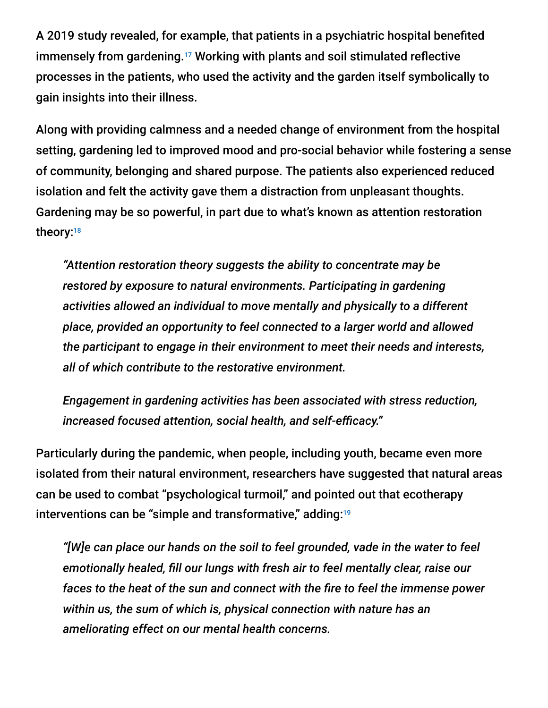A 2019 study revealed, for example, that patients in a psychiatric hospital benefited immensely from gardening.<sup>17</sup> Working with plants and soil stimulated reflective processes in the patients, who used the activity and the garden itself symbolically to gain insights into their illness.

Along with providing calmness and a needed change of environment from the hospital setting, gardening led to improved mood and pro-social behavior while fostering a sense of community, belonging and shared purpose. The patients also experienced reduced isolation and felt the activity gave them a distraction from unpleasant thoughts. Gardening may be so powerful, in part due to what's known as attention restoration theory:<sup>18</sup>

*"Attention restoration theory suggests the ability to concentrate may be restored by exposure to natural environments. Participating in gardening activities allowed an individual to move mentally and physically to a different place, provided an opportunity to feel connected to a larger world and allowed the participant to engage in their environment to meet their needs and interests, all of which contribute to the restorative environment.*

*Engagement in gardening activities has been associated with stress reduction, increased focused attention, social health, and self-efficacy."*

Particularly during the pandemic, when people, including youth, became even more isolated from their natural environment, researchers have suggested that natural areas can be used to combat "psychological turmoil," and pointed out that ecotherapy interventions can be "simple and transformative," adding: 19

*"[W]e can place our hands on the soil to feel grounded, vade in the water to feel emotionally healed, fill our lungs with fresh air to feel mentally clear, raise our faces to the heat of the sun and connect with the fire to feel the immense power within us, the sum of which is, physical connection with nature has an ameliorating effect on our mental health concerns.*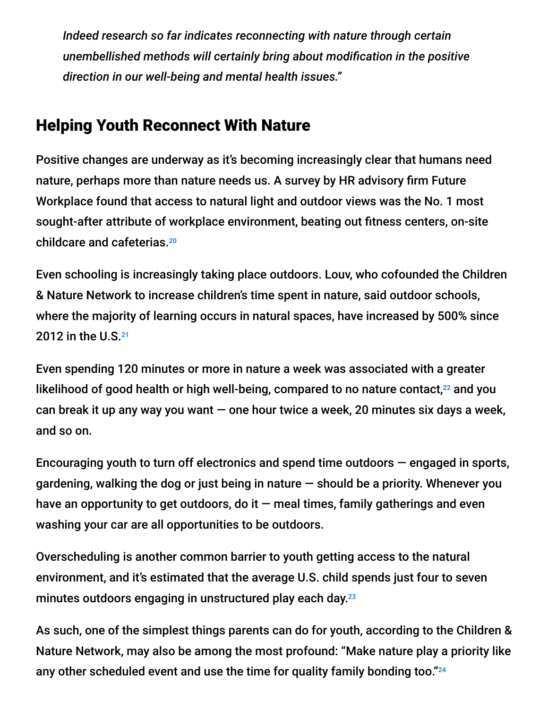*Indeed research so far indicates reconnecting with nature through certain unembellished methods will certainly bring about modification in the positive direction in our well-being and mental health issues."*

## Helping Youth Reconnect With Nature

Positive changes are underway as it's becoming increasingly clear that humans need nature, perhaps more than nature needs us. A survey by HR advisory firm Future Workplace found that access to natural light and outdoor views was the No. 1 most sought-after attribute of workplace environment, beating out fitness centers, on-site childcare and cafeterias. 20

Even schooling is increasingly taking place outdoors. Louv, who cofounded the Children & Nature Network to increase children's time spent in nature, said outdoor schools, where the majority of learning occurs in natural spaces, have increased by 500% since 2012 in the U.S.<sup>21</sup>

Even spending 120 minutes or more in nature a week was associated with a greater likelihood of good health or high well-being, compared to no nature contact, $^{22}$  and you can break it up any way you want  $-$  one hour twice a week, 20 minutes six days a week, and so on.

Encouraging youth to turn off electronics and spend time outdoors  $-$  engaged in sports, gardening, walking the dog or just being in nature  $-$  should be a priority. Whenever you have an opportunity to get outdoors, do it  $-$  meal times, family gatherings and even washing your car are all opportunities to be outdoors.

Overscheduling is another common barrier to youth getting access to the natural environment, and it's estimated that the average U.S. child spends just four to seven minutes outdoors engaging in unstructured play each day. 23

As such, one of the simplest things parents can do for youth, according to the Children & Nature Network, may also be among the most profound: "Make nature play a priority like any other scheduled event and use the time for quality family bonding too." $^{24}$